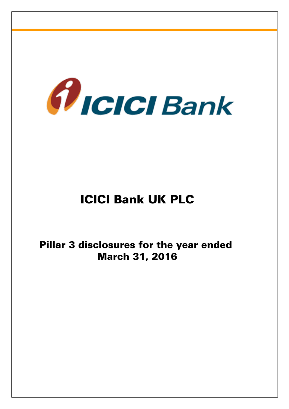

# ICICI Bank UK PLC

Pillar 3 disclosures for the year ended March 31, 2016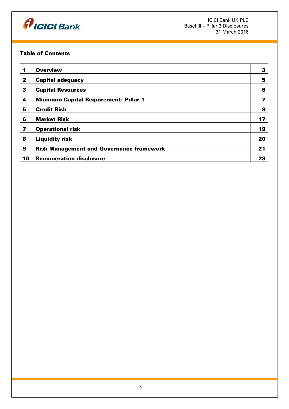

## Table of Contents

| 1              | <b>Overview</b>                                 | 3  |
|----------------|-------------------------------------------------|----|
| $\overline{2}$ | <b>Capital adequacy</b>                         | 5  |
| 3              | <b>Capital Resources</b>                        | 6  |
| 4              | <b>Minimum Capital Requirement: Pillar 1</b>    |    |
| 5              | <b>Credit Risk</b>                              | 8  |
| 6              | <b>Market Risk</b>                              | 17 |
| 7              | <b>Operational risk</b>                         | 19 |
| 8              | <b>Liquidity risk</b>                           | 20 |
| 9              | <b>Risk Management and Governance framework</b> | 21 |
| 10             | <b>Remuneration disclosure</b>                  | 23 |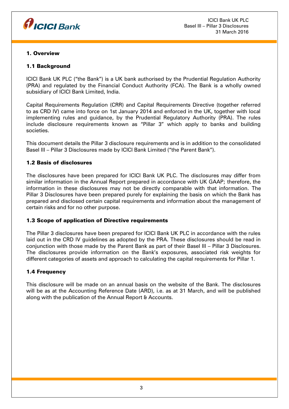

## 1. Overview

# 1.1 Background

ICICI Bank UK PLC ("the Bank") is a UK bank authorised by the Prudential Regulation Authority (PRA) and regulated by the Financial Conduct Authority (FCA). The Bank is a wholly owned subsidiary of ICICI Bank Limited, India.

Capital Requirements Regulation (CRR) and Capital Requirements Directive (together referred to as CRD IV) came into force on 1st January 2014 and enforced in the UK, together with local implementing rules and guidance, by the Prudential Regulatory Authority (PRA). The rules include disclosure requirements known as "Pillar 3" which apply to banks and building societies.

This document details the Pillar 3 disclosure requirements and is in addition to the consolidated Basel III – Pillar 3 Disclosures made by ICICI Bank Limited ("the Parent Bank").

## 1.2 Basis of disclosures

The disclosures have been prepared for ICICI Bank UK PLC. The disclosures may differ from similar information in the Annual Report prepared in accordance with UK GAAP; therefore, the information in these disclosures may not be directly comparable with that information. The Pillar 3 Disclosures have been prepared purely for explaining the basis on which the Bank has prepared and disclosed certain capital requirements and information about the management of certain risks and for no other purpose.

# 1.3 Scope of application of Directive requirements

The Pillar 3 disclosures have been prepared for ICICI Bank UK PLC in accordance with the rules laid out in the CRD IV guidelines as adopted by the PRA. These disclosures should be read in conjunction with those made by the Parent Bank as part of their Basel III – Pillar 3 Disclosures. The disclosures provide information on the Bank's exposures, associated risk weights for different categories of assets and approach to calculating the capital requirements for Pillar 1.

# 1.4 Frequency

This disclosure will be made on an annual basis on the website of the Bank. The disclosures will be as at the Accounting Reference Date (ARD), i.e. as at 31 March, and will be published along with the publication of the Annual Report & Accounts.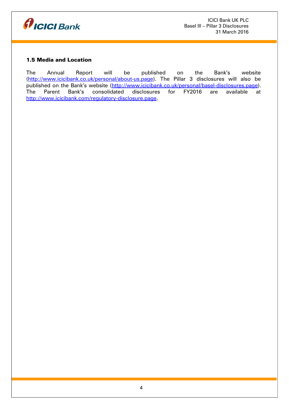

# 1.5 Media and Location

The Annual Report will be published on the Bank's website (http://www.icicibank.co.uk/personal/about-us.page). The Pillar 3 disclosures will also be published on the Bank's website (http://www.icicibank.co.uk/personal/basel-disclosures.page). The Parent Bank's consolidated disclosures for FY2016 are available at [http://www.icicibank.com/regulatory-disclosure.page.](http://www.icicibank.com/regulatory-disclosure.page)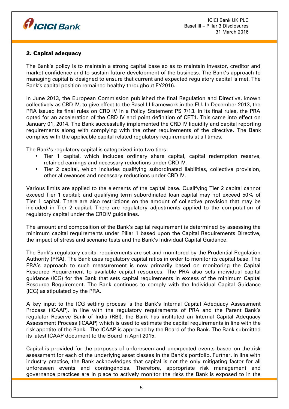

# 2. Capital adequacy

The Bank's policy is to maintain a strong capital base so as to maintain investor, creditor and market confidence and to sustain future development of the business. The Bank's approach to managing capital is designed to ensure that current and expected regulatory capital is met. The Bank's capital position remained healthy throughout FY2016.

In June 2013, the European Commission published the final Regulation and Directive, known collectively as CRD IV, to give effect to the Basel III framework in the EU. In December 2013, the PRA issued its final rules on CRD IV in a Policy Statement PS 7/13. In its final rules, the PRA opted for an acceleration of the CRD IV end point definition of CET1. This came into effect on January 01, 2014. The Bank successfully implemented the CRD IV liquidity and capital reporting requirements along with complying with the other requirements of the directive. The Bank complies with the applicable capital related regulatory requirements at all times.

The Bank's regulatory capital is categorized into two tiers:

- Tier 1 capital, which includes ordinary share capital, capital redemption reserve, retained earnings and necessary reductions under CRD IV.
- Tier 2 capital, which includes qualifying subordinated liabilities, collective provision, other allowances and necessary reductions under CRD IV.

Various limits are applied to the elements of the capital base. Qualifying Tier 2 capital cannot exceed Tier 1 capital; and qualifying term subordinated loan capital may not exceed 50% of Tier 1 capital. There are also restrictions on the amount of collective provision that may be included in Tier 2 capital. There are regulatory adjustments applied to the computation of regulatory capital under the CRDIV guidelines.

The amount and composition of the Bank's capital requirement is determined by assessing the minimum capital requirements under Pillar 1 based upon the Capital Requirements Directive, the impact of stress and scenario tests and the Bank's Individual Capital Guidance.

The Bank's regulatory capital requirements are set and monitored by the Prudential Regulation Authority (PRA). The Bank uses regulatory capital ratios in order to monitor its capital base. The PRA's approach to such measurement is now primarily based on monitoring the Capital Resource Requirement to available capital resources. The PRA also sets individual capital guidance (ICG) for the Bank that sets capital requirements in excess of the minimum Capital Resource Requirement. The Bank continues to comply with the Individual Capital Guidance (ICG) as stipulated by the PRA.

A key input to the ICG setting process is the Bank's Internal Capital Adequacy Assessment Process (ICAAP). In line with the regulatory requirements of PRA and the Parent Bank's regulator Reserve Bank of India (RBI), the Bank has instituted an Internal Capital Adequacy Assessment Process (ICAAP) which is used to estimate the capital requirements in line with the risk appetite of the Bank. The ICAAP is approved by the Board of the Bank. The Bank submitted its latest ICAAP document to the Board in April 2015.

Capital is provided for the purposes of unforeseen and unexpected events based on the risk assessment for each of the underlying asset classes in the Bank's portfolio. Further, in line with industry practice, the Bank acknowledges that capital is not the only mitigating factor for all unforeseen events and contingencies. Therefore, appropriate risk management and governance practices are in place to actively monitor the risks the Bank is exposed to in the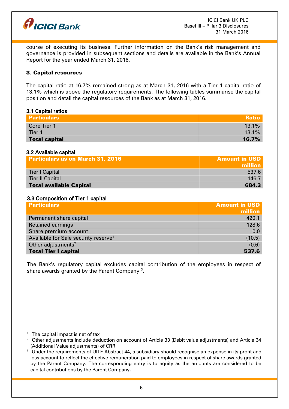

course of executing its business. Further information on the Bank's risk management and governance is provided in subsequent sections and details are available in the Bank's Annual Report for the year ended March 31, 2016.

## 3. Capital resources

The capital ratio at 16.7% remained strong as at March 31, 2016 with a Tier 1 capital ratio of 13.1% which is above the regulatory requirements. The following tables summarise the capital position and detail the capital resources of the Bank as at March 31, 2016.

#### 3.1 Capital ratios

| <b>Particulars</b>   | Ratio    |
|----------------------|----------|
| Core Tier 1          | $13.1\%$ |
| Tier 1               | $13.1\%$ |
| <b>Total capital</b> | 16.7%    |

## 3.2 Available capital

| <b>Particulars as on March 31, 2016</b> | <b>Amount in USD</b><br>million |
|-----------------------------------------|---------------------------------|
| Tier I Capital                          | 537.6                           |
| <b>Tier II Capital</b>                  | 146.7                           |
| <b>Total available Capital</b>          | 684.3                           |

#### 3.3 Composition of Tier 1 capital

| <b>Particulars</b>                               | <b>Amount in USD</b> |
|--------------------------------------------------|----------------------|
|                                                  | million              |
| Permanent share capital                          | 420.1                |
| <b>Retained earnings</b>                         | 128.6                |
| Share premium account                            | 0.0                  |
| Available for Sale security reserve <sup>1</sup> | (10.5)               |
| Other adjustments <sup>2</sup>                   | (0.6)                |
| <b>Total Tier I capital</b>                      | 537.6                |

The Bank's regulatory capital excludes capital contribution of the employees in respect of share awards granted by the Parent Company  $^{\rm 3}$  $^{\rm 3}$  $^{\rm 3}$ .

<span id="page-5-0"></span> $1$  The capital impact is net of tax

<span id="page-5-1"></span> $2$  Other adjustments include deduction on account of Article 33 (Debit value adjustments) and Article 34 (Additional Value adjustments) of CRR

<span id="page-5-2"></span> $3$  Under the requirements of UITF Abstract 44, a subsidiary should recognise an expense in its profit and loss account to reflect the effective remuneration paid to employees in respect of share awards granted by the Parent Company. The corresponding entry is to equity as the amounts are considered to be capital contributions by the Parent Company.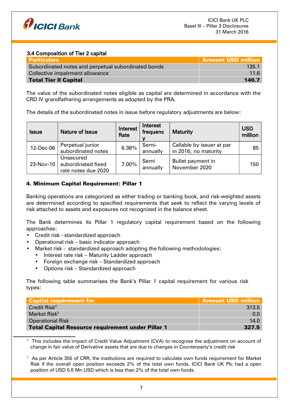

## 3.4 Composition of Tier 2 capital

| Particulars                                         | <b>Amount USD million</b> |
|-----------------------------------------------------|---------------------------|
| Subordinated notes and perpetual subordinated bonds | 135.1                     |
| Collective impairment allowance                     | 116                       |
| <b>Total Tier II Capital</b>                        | 146.7                     |

The value of the subordinated notes eligible as capital are determined in accordance with the CRD IV grandfathering arrangements as adopted by the PRA.

The details of the subordinated notes in issue before regulatory adjustments are below:

| <b>Issue</b> | Nature of Issue                                        | Interest<br>Rate | Interest<br>frequenc | <b>Maturity</b>                                   | <b>USD</b><br>million |
|--------------|--------------------------------------------------------|------------------|----------------------|---------------------------------------------------|-----------------------|
| 12-Dec-06    | Perpetual junior<br>subordinated notes                 | 6.38%            | Semi-<br>annually    | Callable by issuer at par<br>in 2016; no maturity | 85 <sup>1</sup>       |
| 23-Nov-10    | Unsecured<br>subordinated fixed<br>rate notes due 2020 | 7.00%            | Semi<br>annually     | Bullet payment in<br>November 2020                | 150                   |

# 4. Minimum Capital Requirement: Pillar 1

Banking operations are categorized as either trading or banking book, and risk-weighted assets are determined according to specified requirements that seek to reflect the varying levels of risk attached to assets and exposures not recognized in the balance sheet.

The Bank determines its Pillar 1 regulatory capital requirement based on the following approaches:

- Credit risk standardized approach
- Operational risk basic indicator approach
- Market risk standardized approach adopting the following methodologies:
	- Interest rate risk Maturity Ladder approach
	- Foreign exchange risk Standardized approach
	- Options risk Standardized approach

The following table summarises the Bank's Pillar 1 capital requirement for various risk types:

| Capital requirement for                                  | <b>Amount USD million</b> |
|----------------------------------------------------------|---------------------------|
| Credit Risk <sup>4</sup>                                 | 313.5                     |
| Market Risk <sup>5</sup>                                 | 0.0                       |
| <b>Operational Risk</b>                                  | 14.0                      |
| <b>Total Capital Resource requirement under Pillar 1</b> | 327.5                     |

<span id="page-6-0"></span><sup>4</sup> This includes the impact of Credit Value Adjustment (CVA) to recognise the adjustment on account of change in fair value of Derivative assets that are due to changes in Counterparty's credit risk

<span id="page-6-1"></span> $5$  As per Article 355 of CRR, the institutions are required to calculate own funds requirement for Market Risk if the overall open position exceeds 2% of the total own funds. ICICI Bank UK Plc had a open position of USD 5.0 Mn USD which is less than 2% of the total own funds.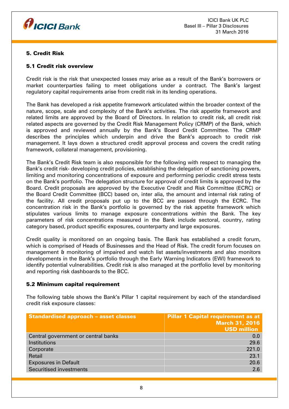

# 5. Credit Risk

## 5.1 Credit risk overview

Credit risk is the risk that unexpected losses may arise as a result of the Bank's borrowers or market counterparties failing to meet obligations under a contract. The Bank's largest regulatory capital requirements arise from credit risk in its lending operations.

The Bank has developed a risk appetite framework articulated within the broader context of the nature, scope, scale and complexity of the Bank's activities. The risk appetite framework and related limits are approved by the Board of Directors. In relation to credit risk, all credit risk related aspects are governed by the Credit Risk Management Policy (CRMP) of the Bank, which is approved and reviewed annually by the Bank's Board Credit Committee. The CRMP describes the principles which underpin and drive the Bank's approach to credit risk management. It lays down a structured credit approval process and covers the credit rating framework, collateral management, provisioning.

The Bank's Credit Risk team is also responsible for the following with respect to managing the Bank's credit risk- developing credit policies, establishing the delegation of sanctioning powers, limiting and monitoring concentrations of exposure and performing periodic credit stress tests on the Bank's portfolio. The delegation structure for approval of credit limits is approved by the Board. Credit proposals are approved by the Executive Credit and Risk Committee (ECRC) or the Board Credit Committee (BCC) based on, inter alia, the amount and internal risk rating of the facility. All credit proposals put up to the BCC are passed through the ECRC. The concentration risk in the Bank's portfolio is governed by the risk appetite framework which stipulates various limits to manage exposure concentrations within the Bank. The key parameters of risk concentrations measured in the Bank include sectoral, country, rating category based, product specific exposures, counterparty and large exposures.

Credit quality is monitored on an ongoing basis. The Bank has established a credit forum, which is comprised of Heads of Businesses and the Head of Risk. The credit forum focuses on management & monitoring of impaired and watch list assets/investments and also monitors developments in the Bank's portfolio through the Early Warning Indicators (EWI) framework to identify potential vulnerabilities. Credit risk is also managed at the portfolio level by monitoring and reporting risk dashboards to the BCC.

## 5.2 Minimum capital requirement

The following table shows the Bank's Pillar 1 capital requirement by each of the standardised credit risk exposure classes:

| <b>Standardised approach - asset classes</b> | <b>Pillar 1 Capital requirement as at</b><br><b>March 31, 2016</b><br><b>USD million</b> |
|----------------------------------------------|------------------------------------------------------------------------------------------|
| Central government or central banks          | 0.0                                                                                      |
| Institutions                                 | 29.6                                                                                     |
| Corporate                                    | 221.0                                                                                    |
| Retail                                       | 23.1                                                                                     |
| <b>Exposures in Default</b>                  | 20.6                                                                                     |
| <b>Securitised investments</b>               | 2.6                                                                                      |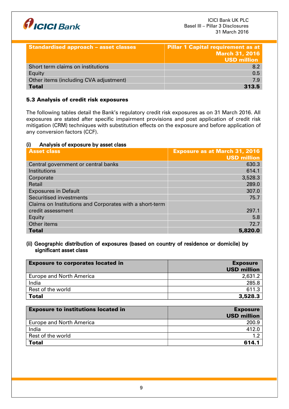

| <b>Standardised approach - asset classes</b> | <b>Pillar 1 Capital requirement as at</b><br><b>March 31, 2016</b><br><b>USD million</b> |
|----------------------------------------------|------------------------------------------------------------------------------------------|
| Short term claims on institutions            | <b>8.2</b>                                                                               |
| Equity                                       | 0.5                                                                                      |
| Other items (including CVA adjustment)       | 7.9                                                                                      |
| <b>Total</b>                                 | 313.5                                                                                    |

# 5.3 Analysis of credit risk exposures

The following tables detail the Bank's regulatory credit risk exposures as on 31 March 2016. All exposures are stated after specific impairment provisions and post application of credit risk mitigation (CRM) techniques with substitution effects on the exposure and before application of any conversion factors (CCF).

## (i) Analysis of exposure by asset class

| <b>Asset class</b>                                      | <b>Exposure as at March 31, 2016</b><br><b>USD million</b> |
|---------------------------------------------------------|------------------------------------------------------------|
| Central government or central banks                     | 630.3                                                      |
| Institutions                                            | 614.1                                                      |
| Corporate                                               | 3,528.3                                                    |
| Retail                                                  | 289.0                                                      |
| <b>Exposures in Default</b>                             | 307.0                                                      |
| Securitised investments                                 | 75.7                                                       |
| Claims on Institutions and Corporates with a short-term |                                                            |
| credit assessment                                       | 297.1                                                      |
| Equity                                                  | 5.8                                                        |
| Other items                                             | 72.7                                                       |
| <b>Total</b>                                            | 5,820.0                                                    |

## (ii) Geographic distribution of exposures (based on country of residence or domicile) by significant asset class

| <b>Exposure to corporates located in</b> | <b>Exposure</b>    |
|------------------------------------------|--------------------|
|                                          | <b>USD million</b> |
| <b>Europe and North America</b>          | 2,631.2            |
| India                                    | 285.8              |
| Rest of the world                        | 611.3              |
| <b>Total</b>                             | 3,528.3            |

| <b>Exposure to institutions located in</b> | <b>Exposure</b><br><b>USD million</b> |
|--------------------------------------------|---------------------------------------|
| <b>Europe and North America</b>            | 200.9                                 |
| India                                      | 412.0                                 |
| Rest of the world                          |                                       |
| <b>Total</b>                               | 614.1                                 |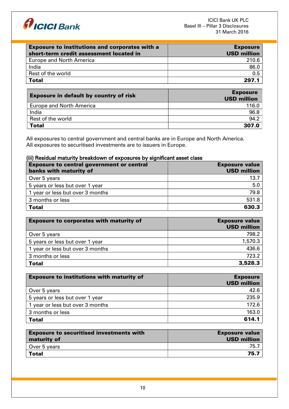

| <b>Exposure to institutions and corporates with a</b><br>short-term credit assessment located in | <b>Exposure</b><br><b>USD million</b> |
|--------------------------------------------------------------------------------------------------|---------------------------------------|
| <b>Europe and North America</b>                                                                  | 210.6                                 |
| India                                                                                            | 86.0                                  |
| Rest of the world                                                                                | 0.5                                   |
| <b>Total</b>                                                                                     | 297.1                                 |

| <b>Exposure in default by country of risk</b> | <b>Exposure</b><br><b>USD million</b> |
|-----------------------------------------------|---------------------------------------|
| <b>Europe and North America</b>               | 116.0                                 |
| India                                         | 96.8                                  |
| Rest of the world                             | 94.2                                  |
| <b>Total</b>                                  | 307.0                                 |

All exposures to central government and central banks are in Europe and North America. All exposures to securitised investments are to issuers in Europe.

## (iii) Residual maturity breakdown of exposures by significant asset class

| <b>Exposure to central government or central</b><br>banks with maturity of | <b>Exposure value</b><br><b>USD million</b> |
|----------------------------------------------------------------------------|---------------------------------------------|
| Over 5 years                                                               | 13.7                                        |
| 5 years or less but over 1 year                                            | 5.0                                         |
| 1 year or less but over 3 months                                           | 79.8                                        |
| 3 months or less                                                           | 531.8                                       |
| <b>Total</b>                                                               | 630.3                                       |

| <b>Exposure to corporates with maturity of</b> | <b>Exposure value</b><br><b>USD million</b> |
|------------------------------------------------|---------------------------------------------|
| Over 5 years                                   | 798.2                                       |
| 5 years or less but over 1 year                | 1,570.3                                     |
| 1 year or less but over 3 months               | 436.6                                       |
| 3 months or less                               | 723.2                                       |
| <b>Total</b>                                   | 3,528.3                                     |

| <b>Exposure to institutions with maturity of</b> | <b>Exposure</b><br><b>USD million</b> |
|--------------------------------------------------|---------------------------------------|
| Over 5 years                                     | 42.6                                  |
| 5 years or less but over 1 year                  | 235.9                                 |
| 1 year or less but over 3 months                 | 172.6                                 |
| 3 months or less                                 | 163.0                                 |
| <b>Total</b>                                     | 614.1                                 |

| <b>Exposure to securitised investments with</b><br>maturity of | <b>Exposure value</b><br><b>USD million</b> |
|----------------------------------------------------------------|---------------------------------------------|
| Over 5 years                                                   | 75.7                                        |
| Total                                                          | 75.7                                        |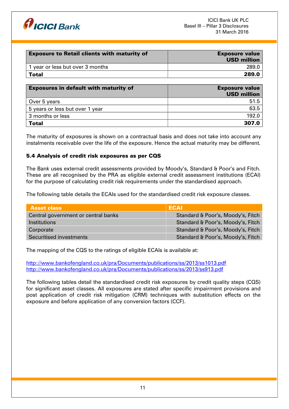

| <b>Exposure value</b><br><b>USD million</b> |
|---------------------------------------------|
| 289.0                                       |
| 289.0                                       |
|                                             |

| <b>Exposures in default with maturity of</b> | <b>Exposure value</b><br><b>USD million</b> |
|----------------------------------------------|---------------------------------------------|
| Over 5 years                                 | 51.5                                        |
| 5 years or less but over 1 year              | 63.5                                        |
| 3 months or less                             | 192.0                                       |
| <b>Total</b>                                 | 307.0                                       |

The maturity of exposures is shown on a contractual basis and does not take into account any instalments receivable over the life of the exposure. Hence the actual maturity may be different.

## 5.4 Analysis of credit risk exposures as per CQS

The Bank uses external credit assessments provided by Moody's, Standard & Poor's and Fitch. These are all recognised by the PRA as eligible external credit assessment institutions (ECAI) for the purpose of calculating credit risk requirements under the standardised approach.

The following table details the ECAIs used for the standardised credit risk exposure classes.

| <b>Asset class</b>                  | <b>ECAI</b>                       |
|-------------------------------------|-----------------------------------|
| Central government or central banks | Standard & Poor's, Moody's, Fitch |
| <i><u><b>Institutions</b></u></i>   | Standard & Poor's, Moody's, Fitch |
| Corporate                           | Standard & Poor's, Moody's, Fitch |
| Securitised investments             | Standard & Poor's, Moody's, Fitch |

The mapping of the CQS to the ratings of eligible ECAIs is available at:

http://www.bankofengland.co.uk/pra/Documents/publications/ss/2013/ss1013.pdf <http://www.bankofengland.co.uk/pra/Documents/publications/ss/2013/ss913.pdf>

The following tables detail the standardised credit risk exposures by credit quality steps (CQS) for significant asset classes. All exposures are stated after specific impairment provisions and post application of credit risk mitigation (CRM) techniques with substitution effects on the exposure and before application of any conversion factors (CCF).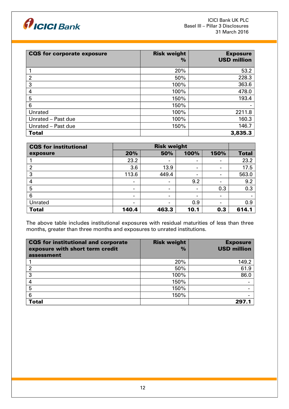

| <b>CQS for corporate exposure</b> | <b>Risk weight</b><br>$\%$ | <b>Exposure</b><br><b>USD million</b> |
|-----------------------------------|----------------------------|---------------------------------------|
|                                   | 20%                        | 53.2                                  |
| $\overline{2}$                    | 50%                        | 228.3                                 |
| 3                                 | 100%                       | 363.6                                 |
| 4                                 | 100%                       | 478.0                                 |
| 5                                 | 150%                       | 193.4                                 |
| 6                                 | 150%                       |                                       |
| Unrated                           | 100%                       | 2211.8                                |
| Unrated - Past due                | 100%                       | 160.3                                 |
| Unrated - Past due                | 150%                       | 146.7                                 |
| <b>Total</b>                      |                            | 3,835.3                               |

| CQS for institutional | <b>Risk weight</b>       |                              |                          |                          |              |
|-----------------------|--------------------------|------------------------------|--------------------------|--------------------------|--------------|
| exposure              | 20%                      | 50%                          | 100%                     | 150%                     | <b>Total</b> |
|                       | 23.2                     | $\overline{\phantom{a}}$     | $\,$                     | $\blacksquare$           | 23.2         |
| 2                     | 3.6                      | 13.9                         | $\overline{\phantom{a}}$ | $\blacksquare$           | 17.5         |
| 3                     | 113.6                    | 449.4                        | $\,$                     | $\overline{\phantom{a}}$ | 563.0        |
| 4                     | $\blacksquare$           | $\overline{\phantom{a}}$     | 9.2                      | $\overline{\phantom{a}}$ | 9.2          |
| 5                     | $\blacksquare$           | $\blacksquare$               | $\,$                     | 0.3                      | 0.3          |
| 6                     | $\overline{\phantom{a}}$ | $\qquad \qquad \blacksquare$ | $\,$                     | $\blacksquare$           |              |
| Unrated               |                          | $\blacksquare$               | 0.9                      | $\qquad \qquad$          | 0.9          |
| <b>Total</b>          | 140.4                    | 463.3                        | 10.1                     | 0.3                      | 614.1        |

The above table includes institutional exposures with residual maturities of less than three months, greater than three months and exposures to unrated institutions.

| CQS for institutional and corporate<br>exposure with short term credit<br>assessment | <b>Risk weight</b><br>$\frac{0}{0}$ | <b>Exposure</b><br><b>USD million</b> |
|--------------------------------------------------------------------------------------|-------------------------------------|---------------------------------------|
|                                                                                      |                                     |                                       |
|                                                                                      | 20%                                 | 149.2                                 |
|                                                                                      | 50%                                 | 61.9                                  |
| 3                                                                                    | 100%                                | 86.0                                  |
| 4                                                                                    | 150%                                |                                       |
| 5                                                                                    | 150%                                |                                       |
| 6                                                                                    | 150%                                |                                       |
| <b>Total</b>                                                                         |                                     | 297.1                                 |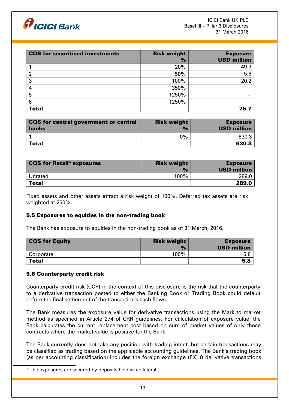

| <b>CQS</b> for securitised investments | <b>Risk weight</b><br>$\frac{9}{6}$ | <b>Exposure</b><br><b>USD million</b> |
|----------------------------------------|-------------------------------------|---------------------------------------|
|                                        | 20%                                 | 49.9                                  |
| 2                                      | 50%                                 | 5.6                                   |
| 3                                      | 100%                                | 20.2                                  |
| 4                                      | 350%                                |                                       |
| 5                                      | 1250%                               |                                       |
| 6                                      | 1250%                               |                                       |
| <b>Total</b>                           |                                     | 75.7                                  |

| <b>CQS</b> for central government or central<br><b>banks</b> | <b>Risk weight</b><br>$\frac{1}{2}$ | <b>Exposure</b><br><b>USD million</b> |
|--------------------------------------------------------------|-------------------------------------|---------------------------------------|
|                                                              | $0\%$                               | 630.3                                 |
| <b>Total</b>                                                 |                                     | 630.3                                 |

| <b>CQS for Retail</b> <sup>6</sup> exposures | <b>Risk weight</b><br>$\frac{1}{2}$ | <b>Exposure</b><br><b>USD million</b> |
|----------------------------------------------|-------------------------------------|---------------------------------------|
| Unrated                                      | 100%                                | 289.0                                 |
| <b>Total</b>                                 |                                     | 289.0                                 |

Fixed assets and other assets attract a risk weight of 100%. Deferred tax assets are risk weighted at 250%.

## 5.5 Exposures to equities in the non-trading book

The Bank has exposure to equities in the non-trading book as of 31 March, 2016.

| <b>CQS for Equity</b> | <b>Risk weight</b> | <b>Exposure</b>    |
|-----------------------|--------------------|--------------------|
|                       | $\frac{9}{6}$      | <b>USD million</b> |
| Corporate             | $100\%$            | 5.8                |
| <b>Total</b>          |                    | 5.8                |

#### 5.6 Counterparty credit risk

Counterparty credit risk (CCR) in the context of this disclosure is the risk that the counterparty to a derivative transaction posted to either the Banking Book or Trading Book could default before the final settlement of the transaction's cash flows.

The Bank measures the exposure value for derivative transactions using the Mark to market method as specified in Article 274 of CRR guidelines. For calculation of exposure value, the Bank calculates the current replacement cost based on sum of market values of only those contracts where the market value is positive for the Bank.

The Bank currently does not take any position with trading intent, but certain transactions may be classified as trading based on the applicable accounting guidelines. The Bank's trading book (as per accounting classification) includes the foreign exchange (FX) & derivative transactions

<span id="page-12-0"></span> $6$  The exposures are secured by deposits held as collateral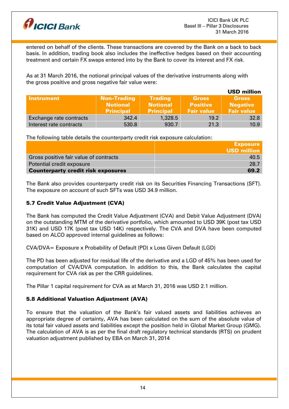

entered on behalf of the clients. These transactions are covered by the Bank on a back to back basis. In addition, trading book also includes the ineffective hedges based on their accounting treatment and certain FX swaps entered into by the Bank to cover its interest and FX risk.

As at 31 March 2016, the notional principal values of the derivative instruments along with the gross positive and gross negative fair value were:

|                         |                                                           |                                                       |                                                      | <b>USD million</b>                                   |
|-------------------------|-----------------------------------------------------------|-------------------------------------------------------|------------------------------------------------------|------------------------------------------------------|
| <b>Instrument</b>       | <b>Non-Trading</b><br><b>Notional</b><br><b>Principal</b> | <b>Trading</b><br><b>Notional</b><br><b>Principal</b> | <b>Gross</b><br><b>Positive</b><br><b>Fair value</b> | <b>Gross</b><br><b>Negative</b><br><b>Fair value</b> |
| Exchange rate contracts | 342.4                                                     | 1,328.5                                               | 19.2                                                 | 32.8                                                 |
| Interest rate contracts | 530.8                                                     | 930.7                                                 | 21.3                                                 | 10.9                                                 |

The following table details the counterparty credit risk exposure calculation:

|                                           | <b>Exposure</b>    |
|-------------------------------------------|--------------------|
|                                           | <b>USD million</b> |
| Gross positive fair value of contracts    | 40.5               |
| Potential credit exposure                 | 28.7               |
| <b>Counterparty credit risk exposures</b> | 69.2               |

The Bank also provides counterparty credit risk on its Securities Financing Transactions (SFT). The exposure on account of such SFTs was USD 34.9 million.

# 5.7 Credit Value Adjustment (CVA)

The Bank has computed the Credit Value Adjustment (CVA) and Debit Value Adjustment (DVA) on the outstanding MTM of the derivative portfolio, which amounted to USD 39K (post tax USD 31K) and USD 17K (post tax USD 14K) respectively. The CVA and DVA have been computed based on ALCO approved internal guidelines as follows:

CVA/DVA= Exposure x Probability of Default (PD) x Loss Given Default (LGD)

The PD has been adjusted for residual life of the derivative and a LGD of 45% has been used for computation of CVA/DVA computation. In addition to this, the Bank calculates the capital requirement for CVA risk as per the CRR guidelines.

The Pillar 1 capital requirement for CVA as at March 31, 2016 was USD 2.1 million.

# 5.8 Additional Valuation Adjustment (AVA)

To ensure that the valuation of the Bank's fair valued assets and liabilities achieves an appropriate degree of certainty, AVA has been calculated on the sum of the absolute value of its total fair valued assets and liabilities except the position held in Global Market Group (GMG). The calculation of AVA is as per the final draft regulatory technical standards (RTS) on prudent valuation adjustment published by EBA on March 31, 2014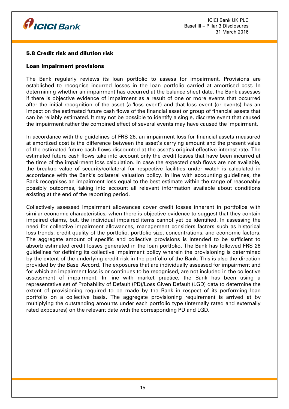

## 5.8 Credit risk and dilution risk

## Loan impairment provisions

The Bank regularly reviews its loan portfolio to assess for impairment. Provisions are established to recognise incurred losses in the loan portfolio carried at amortised cost. In determining whether an impairment has occurred at the balance sheet date, the Bank assesses if there is objective evidence of impairment as a result of one or more events that occurred after the initial recognition of the asset (a 'loss event') and that loss event (or events) has an impact on the estimated future cash flows of the financial asset or group of financial assets that can be reliably estimated. It may not be possible to identify a single, discrete event that caused the impairment rather the combined effect of several events may have caused the impairment.

In accordance with the guidelines of FRS 26, an impairment loss for financial assets measured at amortized cost is the difference between the asset's carrying amount and the present value of the estimated future cash flows discounted at the asset's original effective interest rate. The estimated future cash flows take into account only the credit losses that have been incurred at the time of the impairment loss calculation. In case the expected cash flows are not available, the breakup value of security/collateral for respective facilities under watch is calculated in accordance with the Bank's collateral valuation policy. In line with accounting guidelines, the Bank recognises an impairment loss equal to the best estimate within the range of reasonably possibly outcomes, taking into account all relevant information available about conditions existing at the end of the reporting period.

Collectively assessed impairment allowances cover credit losses inherent in portfolios with similar economic characteristics, when there is objective evidence to suggest that they contain impaired claims, but, the individual impaired items cannot yet be identified. In assessing the need for collective impairment allowances, management considers factors such as historical loss trends, credit quality of the portfolio, portfolio size, concentrations, and economic factors. The aggregate amount of specific and collective provisions is intended to be sufficient to absorb estimated credit losses generated in the loan portfolio. The Bank has followed FRS 26 guidelines for defining its collective impairment policy wherein the provisioning is determined by the extent of the underlying credit risk in the portfolio of the Bank. This is also the direction provided by the Basel Accord. The exposures that are individually assessed for impairment and for which an impairment loss is or continues to be recognised, are not included in the collective assessment of impairment. In line with market practice, the Bank has been using a representative set of Probability of Default (PD)/Loss Given Default (LGD) data to determine the extent of provisioning required to be made by the Bank in respect of its performing loan portfolio on a collective basis. The aggregate provisioning requirement is arrived at by multiplying the outstanding amounts under each portfolio type (internally rated and externally rated exposures) on the relevant date with the corresponding PD and LGD.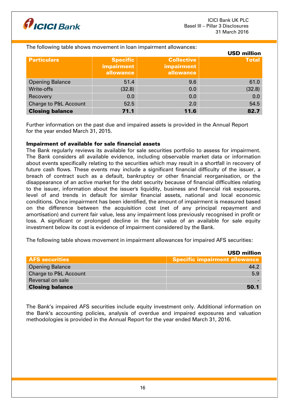

#### The following table shows movement in loan impairment allowances:

|                        |                                            |                                                     | <b>USD million</b> |
|------------------------|--------------------------------------------|-----------------------------------------------------|--------------------|
| <b>Particulars</b>     | <b>Specific</b><br>impairment<br>allowance | <b>Collective</b><br><b>impairment</b><br>allowance | <b>Total</b>       |
| <b>Opening Balance</b> | 51.4                                       | 9.6                                                 | 61.0               |
| Write-offs             | (32.8)                                     | 0.0                                                 | (32.8)             |
| Recovery               | 0.0                                        | 0.0                                                 | 0.0                |
| Charge to P&L Account  | 52.5                                       | 2.0                                                 | 54.5               |
| <b>Closing balance</b> | 71.1                                       | 11.6                                                | 82.7               |

Further information on the past due and impaired assets is provided in the Annual Report for the year ended March 31, 2015.

#### Impairment of available for sale financial assets

The Bank regularly reviews its available for sale securities portfolio to assess for impairment. The Bank considers all available evidence, including observable market data or information about events specifically relating to the securities which may result in a shortfall in recovery of future cash flows. These events may include a significant financial difficulty of the issuer, a breach of contract such as a default, bankruptcy or other financial reorganisation, or the disappearance of an active market for the debt security because of financial difficulties relating to the issuer, information about the issuer's liquidity, business and financial risk exposures, level of and trends in default for similar financial assets, national and local economic conditions. Once impairment has been identified, the amount of impairment is measured based on the difference between the acquisition cost (net of any principal repayment and amortisation) and current fair value, less any impairment loss previously recognised in profit or loss. A significant or prolonged decline in the fair value of an available for sale equity investment below its cost is evidence of impairment considered by the Bank.

The following table shows movement in impairment allowances for impaired AFS securities:

|                        | <b>USD million</b>                   |
|------------------------|--------------------------------------|
| <b>AFS securities</b>  | <b>Specific impairment allowance</b> |
| <b>Opening Balance</b> | 44.2                                 |
| Charge to P&L Account  | 5.9                                  |
| Reversal on sale       |                                      |
| <b>Closing balance</b> | 50.1                                 |

The Bank's impaired AFS securities include equity investment only. Additional information on the Bank's accounting policies, analysis of overdue and impaired exposures and valuation methodologies is provided in the Annual Report for the year ended March 31, 2016.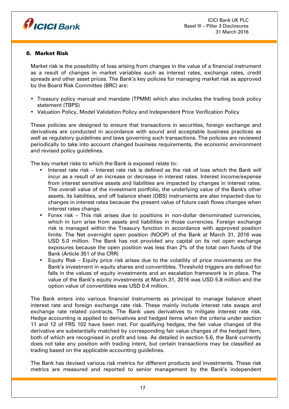

## 6. Market Risk

Market risk is the possibility of loss arising from changes in the value of a financial instrument as a result of changes in market variables such as interest rates, exchange rates, credit spreads and other asset prices. The Bank's key policies for managing market risk as approved by the Board Risk Committee (BRC) are:

- Treasury policy manual and mandate (TPMM) which also includes the trading book policy statement (TBPS)
- Valuation Policy, Model Validation Policy and Independent Price Verification Policy

These policies are designed to ensure that transactions in securities, foreign exchange and derivatives are conducted in accordance with sound and acceptable business practices as well as regulatory guidelines and laws governing such transactions. The policies are reviewed periodically to take into account changed business requirements, the economic environment and revised policy guidelines.

The key market risks to which the Bank is exposed relate to:

- Interest rate risk Interest rate risk is defined as the risk of loss which the Bank will incur as a result of an increase or decrease in interest rates. Interest income/expense from interest sensitive assets and liabilities are impacted by changes in interest rates. The overall value of the investment portfolio, the underlying value of the Bank's other assets, its liabilities, and off balance sheet (OBS) instruments are also impacted due to changes in interest rates because the present value of future cash flows changes when interest rates change.
- Forex risk This risk arises due to positions in non-dollar denominated currencies, which in turn arise from assets and liabilities in those currencies. Foreign exchange risk is managed within the Treasury function in accordance with approved position limits. The Net overnight open position (NOOP) of the Bank at March 31, 2016 was USD 5.0 million. The Bank has not provided any capital on its net open exchange exposures because the open position was less than 2% of the total own funds of the Bank (Article 351 of the CRR)
- Equity Risk Equity price risk arises due to the volatility of price movements on the Bank's investment in equity shares and convertibles. Threshold triggers are defined for falls in the values of equity investments and an escalation framework is in place. The value of the Bank's equity investments at March 31, 2016 was USD 5.8 million and the option value of convertibles was USD 0.4 million.

The Bank enters into various financial instruments as principal to manage balance sheet interest rate and foreign exchange rate risk. These mainly include interest rate swaps and exchange rate related contracts. The Bank uses derivatives to mitigate interest rate risk. Hedge accounting is applied to derivatives and hedged items when the criteria under section 11 and 12 of FRS 102 have been met. For qualifying hedges, the fair value changes of the derivative are substantially matched by corresponding fair value changes of the hedged item, both of which are recognised in profit and loss. As detailed in section 5.6, the Bank currently does not take any position with trading intent, but certain transactions may be classified as trading based on the applicable accounting guidelines.

The Bank has devised various risk metrics for different products and investments. These risk metrics are measured and reported to senior management by the Bank's independent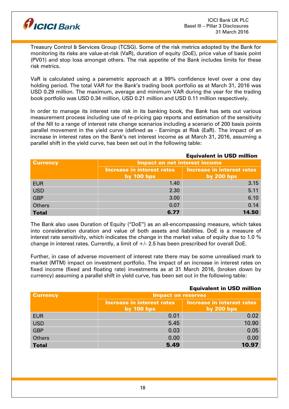

Treasury Control & Services Group (TCSG). Some of the risk metrics adopted by the Bank for monitoring its risks are value-at-risk (VaR), duration of equity (DoE), price value of basis point (PV01) and stop loss amongst others. The risk appetite of the Bank includes limits for these risk metrics.

VaR is calculated using a parametric approach at a 99% confidence level over a one day holding period. The total VAR for the Bank's trading book portfolio as at March 31, 2016 was USD 0.29 million. The maximum, average and minimum VAR during the year for the trading book portfolio was USD 0.34 million, USD 0.21 million and USD 0.11 million respectively.

In order to manage its interest rate risk in its banking book, the Bank has sets out various measurement process including use of re-pricing gap reports and estimation of the sensitivity of the NII to a range of interest rate change scenarios including a scenario of 200 basis points parallel movement in the yield curve (defined as - Earnings at Risk (EaR). The impact of an increase in interest rates on the Bank's net interest income as at March 31, 2016, assuming a parallel shift in the yield curve, has been set out in the following table:

|                 | <b>Equivalent in USD million</b>     |                                   |  |
|-----------------|--------------------------------------|-----------------------------------|--|
| <b>Currency</b> | <b>Impact on net interest income</b> |                                   |  |
|                 | <b>Increase in interest rates</b>    | <b>Increase in interest rates</b> |  |
|                 | by $100$ bps                         | by $200$ bps                      |  |
| <b>EUR</b>      | 1.40                                 | 3.15                              |  |
| <b>USD</b>      | 2.30                                 | 5.11                              |  |
| <b>GBP</b>      | 3.00                                 | 6.10                              |  |
| <b>Others</b>   | 0.07                                 | 0.14                              |  |
| <b>Total</b>    | 6.77                                 | 14.50                             |  |

The Bank also uses Duration of Equity ("DoE") as an all-encompassing measure, which takes into consideration duration and value of both assets and liabilities. DoE is a measure of interest rate sensitivity, which indicates the change in the market value of equity due to 1.0  $\%$ change in interest rates. Currently, a limit of  $+/-$  2.5 has been prescribed for overall DoE.

Further, in case of adverse movement of interest rate there may be some unrealised mark to market (MTM) impact on investment portfolio. The impact of an increase in interest rates on fixed income (fixed and floating rate) investments as at 31 March 2016, (broken down by currency) assuming a parallel shift in yield curve, has been set out in the following table:

#### Equivalent in USD million Currency Impact on reserves Increase in interest rates by 100 bps Increase in interest rates by 200 bps EUR 0.01 0.02 USD 5.45 10.90 GBP 0.03 0.05 Others 0.00 0.00 Total 5.49 10.97

## 18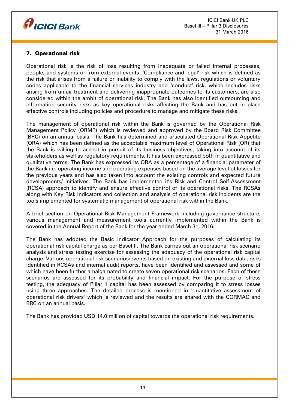

# 7. Operational risk

Operational risk is the risk of loss resulting from inadequate or failed internal processes, people, and systems or from external events. 'Compliance and legal' risk which is defined as the risk that arises from a failure or inability to comply with the laws, regulations or voluntary codes applicable to the financial services industry and 'conduct' risk, which includes risks arising from unfair treatment and delivering inappropriate outcomes to its customers, are also considered within the ambit of operational risk. The Bank has also identified outsourcing and information security risks as key operational risks affecting the Bank and has put in place effective controls including policies and procedure to manage and mitigate these risks.

The management of operational risk within the Bank is governed by the Operational Risk Management Policy (ORMP) which is reviewed and approved by the Board Risk Committee (BRC) on an annual basis. The Bank has determined and articulated Operational Risk Appetite (ORA) which has been defined as the acceptable maximum level of Operational Risk (OR) that the Bank is willing to accept in pursuit of its business objectives, taking into account of its stakeholders as well as regulatory requirements. It has been expressed both in quantitative and qualitative terms. The Bank has expressed its ORA as a percentage of a financial parameter of the Bank i.e. operating income and operating expenses based on the average level of losses for the previous years and has also taken into account the existing controls and expected future developments/ initiatives. The Bank has implemented it's Risk and Control Self-Assessment (RCSA) approach to identify and ensure effective control of its operational risks. The RCSAs along with Key Risk Indicators and collection and analysis of operational risk incidents are the tools implemented for systematic management of operational risk within the Bank.

A brief section on Operational Risk Management Framework including governance structure, various management and measurement tools currently implemented within the Bank is covered in the Annual Report of the Bank for the year ended March 31, 2016.

The Bank has adopted the Basic Indicator Approach for the purposes of calculating its operational risk capital charge as per Basel II. The Bank carries out an operational risk scenario analysis and stress testing exercise for assessing the adequacy of the operational risk capital charge. Various operational risk scenarios/events based on existing and external loss data, risks identified in RCSAs and internal audit reports, have been identified and assessed and some of which have been further amalgamated to create seven operational risk scenarios. Each of these scenarios are assessed for its probability and financial impact. For the purpose of stress testing, the adequacy of Pillar 1 capital has been assessed by comparing it to stress losses using three approaches. The detailed process is mentioned in "quantitative assessment of operational risk drivers" which is reviewed and the results are shared with the CORMAC and BRC on an annual basis.

The Bank has provided USD 14.0 million of capital towards the operational risk requirements.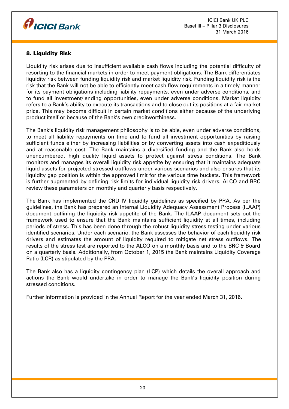

# 8. Liquidity Risk

Liquidity risk arises due to insufficient available cash flows including the potential difficulty of resorting to the financial markets in order to meet payment obligations. The Bank differentiates liquidity risk between funding liquidity risk and market liquidity risk. Funding liquidity risk is the risk that the Bank will not be able to efficiently meet cash flow requirements in a timely manner for its payment obligations including liability repayments, even under adverse conditions, and to fund all investment/lending opportunities, even under adverse conditions. Market liquidity refers to a Bank's ability to execute its transactions and to close out its positions at a fair market price. This may become difficult in certain market conditions either because of the underlying product itself or because of the Bank's own creditworthiness.

The Bank's liquidity risk management philosophy is to be able, even under adverse conditions, to meet all liability repayments on time and to fund all investment opportunities by raising sufficient funds either by increasing liabilities or by converting assets into cash expeditiously and at reasonable cost. The Bank maintains a diversified funding and the Bank also holds unencumbered, high quality liquid assets to protect against stress conditions. The Bank monitors and manages its overall liquidity risk appetite by ensuring that it maintains adequate liquid assets for projected stressed outflows under various scenarios and also ensures that its liquidity gap position is within the approved limit for the various time buckets. This framework is further augmented by defining risk limits for individual liquidity risk drivers. ALCO and BRC review these parameters on monthly and quarterly basis respectively.

The Bank has implemented the CRD IV liquidity guidelines as specified by PRA. As per the guidelines, the Bank has prepared an Internal Liquidity Adequacy Assessment Process (ILAAP) document outlining the liquidity risk appetite of the Bank. The ILAAP document sets out the framework used to ensure that the Bank maintains sufficient liquidity at all times, including periods of stress. This has been done through the robust liquidity stress testing under various identified scenarios. Under each scenario, the Bank assesses the behavior of each liquidity risk drivers and estimates the amount of liquidity required to mitigate net stress outflows. The results of the stress test are reported to the ALCO on a monthly basis and to the BRC & Board on a quarterly basis. Additionally, from October 1, 2015 the Bank maintains Liquidity Coverage Ratio (LCR) as stipulated by the PRA.

The Bank also has a liquidity contingency plan (LCP) which details the overall approach and actions the Bank would undertake in order to manage the Bank's liquidity position during stressed conditions.

Further information is provided in the Annual Report for the year ended March 31, 2016.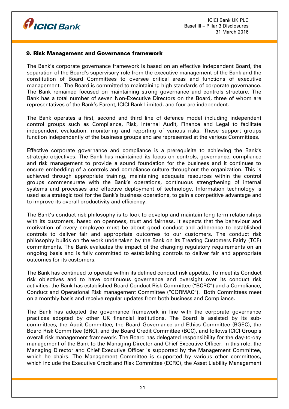

## 9. Risk Management and Governance framework

The Bank's corporate governance framework is based on an effective independent Board, the separation of the Board's supervisory role from the executive management of the Bank and the constitution of Board Committees to oversee critical areas and functions of executive management. The Board is committed to maintaining high standards of corporate governance. The Bank remained focused on maintaining strong governance and controls structure. The Bank has a total number of seven Non-Executive Directors on the Board, three of whom are representatives of the Bank's Parent, ICICI Bank Limited, and four are independent.

The Bank operates a first, second and third line of defence model including independent control groups such as Compliance, Risk, Internal Audit, Finance and Legal to facilitate independent evaluation, monitoring and reporting of various risks. These support groups function independently of the business groups and are represented at the various Committees.

Effective corporate governance and compliance is a prerequisite to achieving the Bank's strategic objectives. The Bank has maintained its focus on controls, governance, compliance and risk management to provide a sound foundation for the business and it continues to ensure embedding of a controls and compliance culture throughout the organization. This is achieved through appropriate training, maintaining adequate resources within the control groups commensurate with the Bank's operations, continuous strengthening of internal systems and processes and effective deployment of technology. Information technology is used as a strategic tool for the Bank's business operations, to gain a competitive advantage and to improve its overall productivity and efficiency.

The Bank's conduct risk philosophy is to look to develop and maintain long term relationships with its customers, based on openness, trust and fairness. It expects that the behaviour and motivation of every employee must be about good conduct and adherence to established controls to deliver fair and appropriate outcomes to our customers. The conduct risk philosophy builds on the work undertaken by the Bank on its Treating Customers Fairly (TCF) commitments. The Bank evaluates the impact of the changing regulatory requirements on an ongoing basis and is fully committed to establishing controls to deliver fair and appropriate outcomes for its customers.

The Bank has continued to operate within its defined conduct risk appetite. To meet its Conduct risk objectives and to have continuous governance and oversight over its conduct risk activities, the Bank has established Board Conduct Risk Committee ("BCRC") and a Compliance, Conduct and Operational Risk management Committee ("CORMAC"). Both Committees meet on a monthly basis and receive regular updates from both business and Compliance.

The Bank has adopted the governance framework in line with the corporate governance practices adopted by other UK financial institutions. The Board is assisted by its subcommittees, the Audit Committee, the Board Governance and Ethics Committee (BGEC), the Board Risk Committee (BRC), and the Board Credit Committee (BCC), and follows ICICI Group's overall risk management framework. The Board has delegated responsibility for the day-to-day management of the Bank to the Managing Director and Chief Executive Officer. In this role, the Managing Director and Chief Executive Officer is supported by the Management Committee, which he chairs. The Management Committee is supported by various other committees, which include the Executive Credit and Risk Committee (ECRC), the Asset Liability Management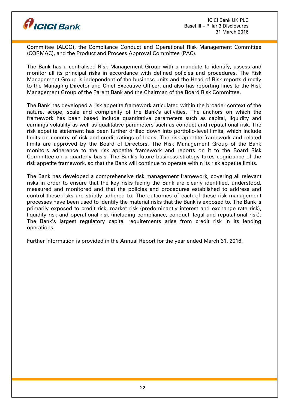

Committee (ALCO), the Compliance Conduct and Operational Risk Management Committee (CORMAC), and the Product and Process Approval Committee (PAC).

The Bank has a centralised Risk Management Group with a mandate to identify, assess and monitor all its principal risks in accordance with defined policies and procedures. The Risk Management Group is independent of the business units and the Head of Risk reports directly to the Managing Director and Chief Executive Officer, and also has reporting lines to the Risk Management Group of the Parent Bank and the Chairman of the Board Risk Committee.

The Bank has developed a risk appetite framework articulated within the broader context of the nature, scope, scale and complexity of the Bank's activities. The anchors on which the framework has been based include quantitative parameters such as capital, liquidity and earnings volatility as well as qualitative parameters such as conduct and reputational risk. The risk appetite statement has been further drilled down into portfolio-level limits, which include limits on country of risk and credit ratings of loans. The risk appetite framework and related limits are approved by the Board of Directors. The Risk Management Group of the Bank monitors adherence to the risk appetite framework and reports on it to the Board Risk Committee on a quarterly basis. The Bank's future business strategy takes cognizance of the risk appetite framework, so that the Bank will continue to operate within its risk appetite limits.

The Bank has developed a comprehensive risk management framework, covering all relevant risks in order to ensure that the key risks facing the Bank are clearly identified, understood, measured and monitored and that the policies and procedures established to address and control these risks are strictly adhered to. The outcomes of each of these risk management processes have been used to identify the material risks that the Bank is exposed to. The Bank is primarily exposed to credit risk, market risk (predominantly interest and exchange rate risk), liquidity risk and operational risk (including compliance, conduct, legal and reputational risk). The Bank's largest regulatory capital requirements arise from credit risk in its lending operations.

Further information is provided in the Annual Report for the year ended March 31, 2016.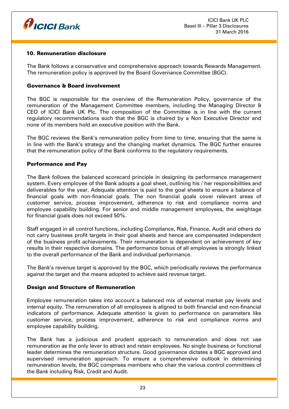

## 10. Remuneration disclosure

The Bank follows a conservative and comprehensive approach towards Rewards Management. The remuneration policy is approved by the Board Governance Committee (BGC).

## Governance & Board involvement

The BGC is responsible for the overview of the Remuneration Policy, governance of the remuneration of the Management Committee members, including the Managing Director & CEO of ICICI Bank UK Plc. The composition of the Committee is in line with the current regulatory recommendations such that the BGC is chaired by a Non Executive Director and none of its members hold an executive position with the Bank.

The BGC reviews the Bank's remuneration policy from time to time, ensuring that the same is in line with the Bank's strategy and the changing market dynamics. The BGC further ensures that the remuneration policy of the Bank conforms to the regulatory requirements.

## Performance and Pay

The Bank follows the balanced scorecard principle in designing its performance management system. Every employee of the Bank adopts a goal sheet, outlining his / her responsibilities and deliverables for the year. Adequate attention is paid to the goal sheets to ensure a balance of financial goals with non-financial goals. The non financial goals cover relevant areas of customer service, process improvement, adherence to risk and compliance norms and employee capability building. For senior and middle management employees, the weightage for financial goals does not exceed 50%.

Staff engaged in all control functions, including Compliance, Risk, Finance, Audit and others do not carry business profit targets in their goal sheets and hence are compensated independent of the business profit achievements. Their remuneration is dependent on achievement of key results in their respective domains. The performance bonus of all employees is strongly linked to the overall performance of the Bank and individual performance.

The Bank's revenue target is approved by the BGC, which periodically reviews the performance against the target and the means adopted to achieve said revenue target.

## Design and Structure of Remuneration

Employee remuneration takes into account a balanced mix of external market pay levels and internal equity. The remuneration of all employees is aligned to both financial and non-financial indicators of performance. Adequate attention is given to performance on parameters like customer service, process improvement, adherence to risk and compliance norms and employee capability building.

The Bank has a judicious and prudent approach to remuneration and does not use remuneration as the only lever to attract and retain employees. No single business or functional leader determines the remuneration structure. Good governance dictates a BGC approved and supervised remuneration approach. To ensure a comprehensive outlook in determining remuneration levels, the BGC comprises members who chair the various control committees of the Bank including Risk, Credit and Audit.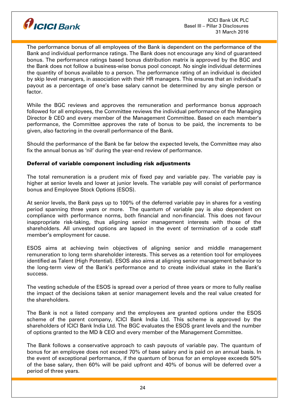

The performance bonus of all employees of the Bank is dependent on the performance of the Bank and individual performance ratings. The Bank does not encourage any kind of guaranteed bonus. The performance ratings based bonus distribution matrix is approved by the BGC and the Bank does not follow a business-wise bonus pool concept. No single individual determines the quantity of bonus available to a person. The performance rating of an individual is decided by skip level managers, in association with their HR managers. This ensures that an individual's payout as a percentage of one's base salary cannot be determined by any single person or factor.

While the BGC reviews and approves the remuneration and performance bonus approach followed for all employees, the Committee reviews the individual performance of the Managing Director & CEO and every member of the Management Committee. Based on each member's performance, the Committee approves the rate of bonus to be paid, the increments to be given, also factoring in the overall performance of the Bank.

Should the performance of the Bank be far below the expected levels, the Committee may also fix the annual bonus as 'nil' during the year-end review of performance.

## Deferral of variable component including risk adjustments

The total remuneration is a prudent mix of fixed pay and variable pay. The variable pay is higher at senior levels and lower at junior levels. The variable pay will consist of performance bonus and Employee Stock Options (ESOS).

At senior levels, the Bank pays up to 100% of the deferred variable pay in shares for a vesting period spanning three years or more. The quantum of variable pay is also dependent on compliance with performance norms, both financial and non-financial. This does not favour inappropriate risk-taking, thus aligning senior management interests with those of the shareholders. All unvested options are lapsed in the event of termination of a code staff member's employment for cause.

ESOS aims at achieving twin objectives of aligning senior and middle management remuneration to long term shareholder interests. This serves as a retention tool for employees identified as Talent (High Potential). ESOS also aims at aligning senior management behavior to the long-term view of the Bank's performance and to create individual stake in the Bank's success.

The vesting schedule of the ESOS is spread over a period of three years or more to fully realise the impact of the decisions taken at senior management levels and the real value created for the shareholders.

The Bank is not a listed company and the employees are granted options under the ESOS scheme of the parent company, ICICI Bank India Ltd. This scheme is approved by the shareholders of ICICI Bank India Ltd. The BGC evaluates the ESOS grant levels and the number of options granted to the MD & CEO and every member of the Management Committee.

The Bank follows a conservative approach to cash payouts of variable pay. The quantum of bonus for an employee does not exceed 70% of base salary and is paid on an annual basis. In the event of exceptional performance, if the quantum of bonus for an employee exceeds 50% of the base salary, then 60% will be paid upfront and 40% of bonus will be deferred over a period of three years.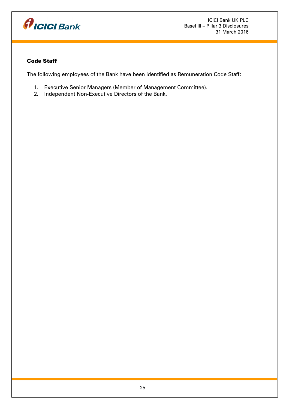

# Code Staff

The following employees of the Bank have been identified as Remuneration Code Staff:

- 1. Executive Senior Managers (Member of Management Committee).
- 2. Independent Non-Executive Directors of the Bank.